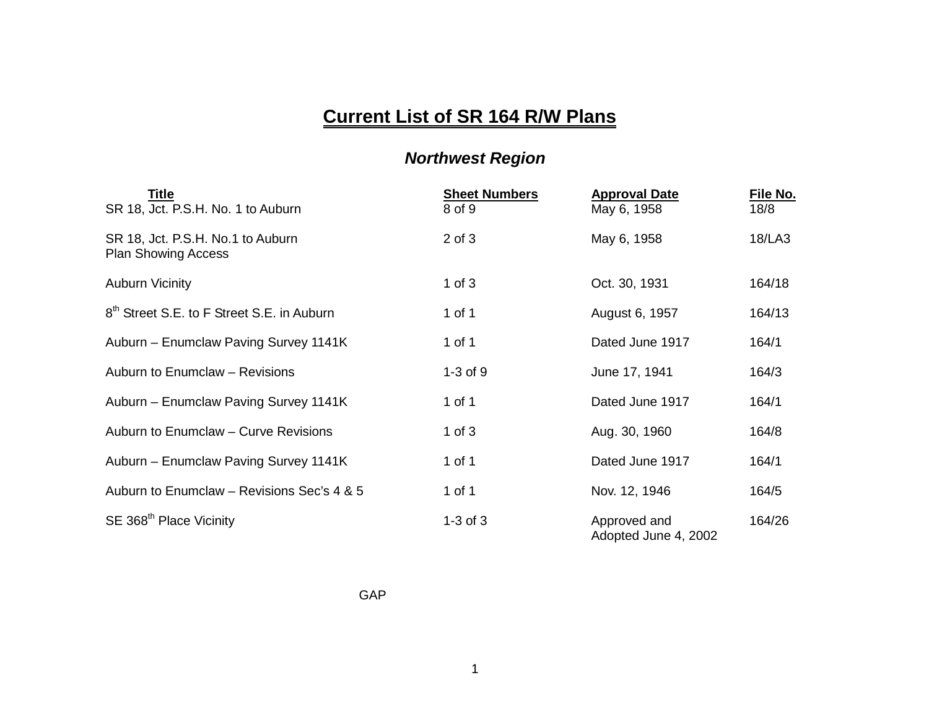## **Current List of SR 164 R/W Plans**

## *Northwest Region*

| Title<br>SR 18, Jct. P.S.H. No. 1 to Auburn                     | <b>Sheet Numbers</b><br>8 of 9 | <b>Approval Date</b><br>May 6, 1958  | File No.<br>18/8 |
|-----------------------------------------------------------------|--------------------------------|--------------------------------------|------------------|
| SR 18, Jct. P.S.H. No.1 to Auburn<br><b>Plan Showing Access</b> | $2$ of $3$                     | May 6, 1958                          | 18/LA3           |
| <b>Auburn Vicinity</b>                                          | $1$ of $3$                     | Oct. 30, 1931                        | 164/18           |
| 8 <sup>th</sup> Street S.E. to F Street S.E. in Auburn          | 1 of 1                         | August 6, 1957                       | 164/13           |
| Auburn - Enumclaw Paving Survey 1141K                           | 1 of 1                         | Dated June 1917                      | 164/1            |
| Auburn to Enumclaw - Revisions                                  | $1-3$ of $9$                   | June 17, 1941                        | 164/3            |
| Auburn - Enumclaw Paving Survey 1141K                           | 1 of 1                         | Dated June 1917                      | 164/1            |
| Auburn to Enumclaw - Curve Revisions                            | 1 of $3$                       | Aug. 30, 1960                        | 164/8            |
| Auburn - Enumclaw Paving Survey 1141K                           | 1 of 1                         | Dated June 1917                      | 164/1            |
| Auburn to Enumclaw - Revisions Sec's 4 & 5                      | 1 of 1                         | Nov. 12, 1946                        | 164/5            |
| SE 368 <sup>th</sup> Place Vicinity                             | $1-3$ of $3$                   | Approved and<br>Adopted June 4, 2002 | 164/26           |

GAP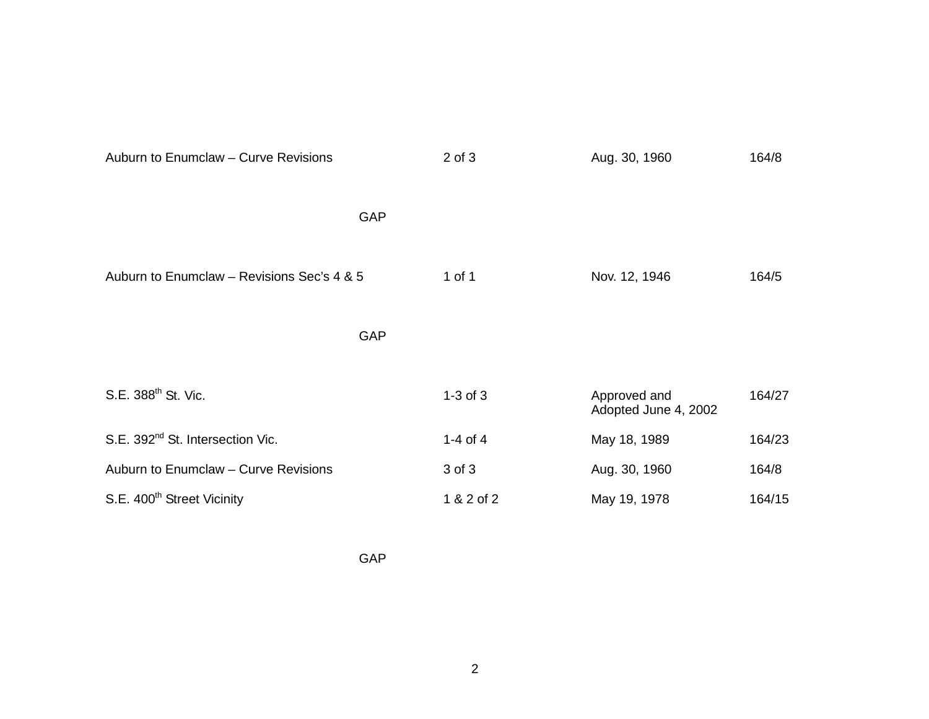| Auburn to Enumclaw - Curve Revisions         |            | $2$ of $3$   | Aug. 30, 1960                        | 164/8  |
|----------------------------------------------|------------|--------------|--------------------------------------|--------|
|                                              | <b>GAP</b> |              |                                      |        |
| Auburn to Enumclaw - Revisions Sec's 4 & 5   |            | 1 of 1       | Nov. 12, 1946                        | 164/5  |
|                                              | <b>GAP</b> |              |                                      |        |
| S.E. 388 <sup>th</sup> St. Vic.              |            | $1-3$ of $3$ | Approved and<br>Adopted June 4, 2002 | 164/27 |
| S.E. 392 <sup>nd</sup> St. Intersection Vic. |            | $1-4$ of $4$ | May 18, 1989                         | 164/23 |
| Auburn to Enumclaw - Curve Revisions         |            | 3 of 3       | Aug. 30, 1960                        | 164/8  |
| S.E. 400 <sup>th</sup> Street Vicinity       |            | 1 & 2 of 2   | May 19, 1978                         | 164/15 |

GAP